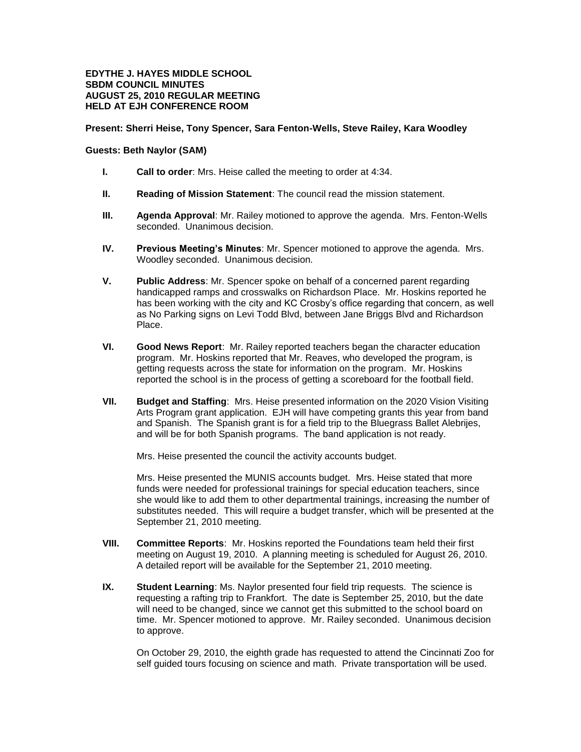## **EDYTHE J. HAYES MIDDLE SCHOOL SBDM COUNCIL MINUTES AUGUST 25, 2010 REGULAR MEETING HELD AT EJH CONFERENCE ROOM**

## **Present: Sherri Heise, Tony Spencer, Sara Fenton-Wells, Steve Railey, Kara Woodley**

## **Guests: Beth Naylor (SAM)**

- **I. Call to order**: Mrs. Heise called the meeting to order at 4:34.
- **II. Reading of Mission Statement**: The council read the mission statement.
- **III. Agenda Approval**: Mr. Railey motioned to approve the agenda. Mrs. Fenton-Wells seconded. Unanimous decision.
- **IV. Previous Meeting's Minutes**: Mr. Spencer motioned to approve the agenda. Mrs. Woodley seconded. Unanimous decision.
- **V. Public Address**: Mr. Spencer spoke on behalf of a concerned parent regarding handicapped ramps and crosswalks on Richardson Place. Mr. Hoskins reported he has been working with the city and KC Crosby's office regarding that concern, as well as No Parking signs on Levi Todd Blvd, between Jane Briggs Blvd and Richardson Place.
- **VI. Good News Report**: Mr. Railey reported teachers began the character education program. Mr. Hoskins reported that Mr. Reaves, who developed the program, is getting requests across the state for information on the program. Mr. Hoskins reported the school is in the process of getting a scoreboard for the football field.
- **VII. Budget and Staffing**: Mrs. Heise presented information on the 2020 Vision Visiting Arts Program grant application. EJH will have competing grants this year from band and Spanish. The Spanish grant is for a field trip to the Bluegrass Ballet Alebrijes, and will be for both Spanish programs. The band application is not ready.

Mrs. Heise presented the council the activity accounts budget.

Mrs. Heise presented the MUNIS accounts budget. Mrs. Heise stated that more funds were needed for professional trainings for special education teachers, since she would like to add them to other departmental trainings, increasing the number of substitutes needed. This will require a budget transfer, which will be presented at the September 21, 2010 meeting.

- **VIII. Committee Reports**: Mr. Hoskins reported the Foundations team held their first meeting on August 19, 2010. A planning meeting is scheduled for August 26, 2010. A detailed report will be available for the September 21, 2010 meeting.
- **IX. Student Learning**: Ms. Naylor presented four field trip requests. The science is requesting a rafting trip to Frankfort. The date is September 25, 2010, but the date will need to be changed, since we cannot get this submitted to the school board on time. Mr. Spencer motioned to approve. Mr. Railey seconded. Unanimous decision to approve.

On October 29, 2010, the eighth grade has requested to attend the Cincinnati Zoo for self guided tours focusing on science and math. Private transportation will be used.